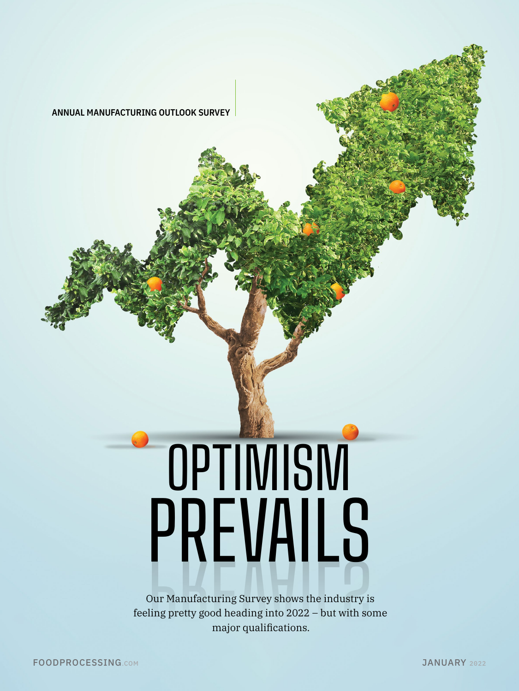HEADLINE

Second paragraph has an indent.

# PREVAILS PREVAILSOPTIMISM

Our Manufacturing Survey shows the industry is<br>
eling pretty good heading into 2022 – but with son<br>
major qualifications. feeling pretty good heading into 2022 – but with some major qualifications.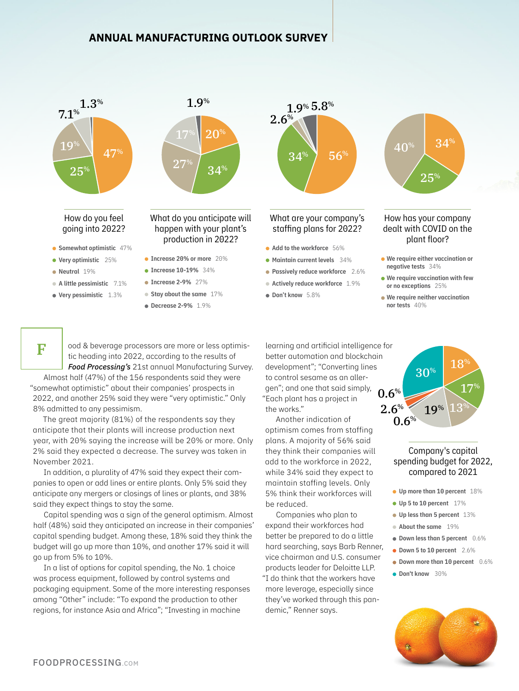



• Very pessimistic 1.3%

F

What do you anticipate will happen with your plant's production in 2022?

- Increase 20% or more 20%
- $\bullet$  Increase 10-19% 34%
- $\bullet$  Increase 2-9% 27%
- Stay about the same 17%
- Decrease 2-9% 1.9%



 $2.6%$ 

Add to the workforce 56%

 $1.9\%$  5.8%

- **Maintain current levels** 34%
- **Passively reduce workforce** 2.6%
- Actively reduce workforce 1.9%
- $\bullet$  Don't know 5.8%

How has your company dealt with COVID on the plant floor?  $25^{\circ}$ 

 $34%$ 

 $40^{\circ}$ 

- We require either vaccination or negative tests 34%
- We require vaccination with few or no exceptions 25%
- We require neither vaccination nor tests 40%

ood & beverage processors are more or less optimistic heading into 2022, according to the results of *Food Processing's* 21st annual Manufacturing Survey.

Almost half (47%) of the 156 respondents said they were "somewhat optimistic" about their companies' prospects in 2022, and another 25% said they were "very optimistic." Only 8% admitted to any pessimism.

The great majority (81%) of the respondents say they anticipate that their plants will increase production next year, with 20% saying the increase will be 20% or more. Only 2% said they expected a decrease. The survey was taken in November 2021.

In addition, a plurality of 47% said they expect their companies to open or add lines or entire plants. Only 5% said they anticipate any mergers or closings of lines or plants, and 38% said they expect things to stay the same.

Capital spending was a sign of the general optimism. Almost half (48%) said they anticipated an increase in their companies' capital spending budget. Among these, 18% said they think the budget will go up more than 10%, and another 17% said it will go up from 5% to 10%.

In a list of options for capital spending, the No. 1 choice was process equipment, followed by control systems and packaging equipment. Some of the more interesting responses among "Other" include: "To expand the production to other regions, for instance Asia and Africa"; "Investing in machine

learning and artificial intelligence for better automation and blockchain development"; "Converting lines to control sesame as an allergen"; and one that said simply, "Each plant has a project in the works."

Another indication of optimism comes from staffing plans. A majority of 56% said they think their companies will add to the workforce in 2022, while 34% said they expect to maintain staffing levels. Only 5% think their workforces will be reduced.

Companies who plan to expand their workforces had better be prepared to do a little hard searching, says Barb Renner, vice chairman and U.S. consumer products leader for Deloitte LLP. "I do think that the workers have more leverage, especially since they've worked through this pandemic," Renner says.



# Company's capital spending budget for 2022, compared to 2021

- **Up more than 10 percent** 18%
- Up 5 to 10 percent 17%
- Up less than 5 percent 13%
- About the same 19%
- $\bullet$  Down less than 5 percent  $0.6\%$
- Down 5 to 10 percent 2.6%
- Down more than 10 percent 0.6%
- **Don't know** 30%

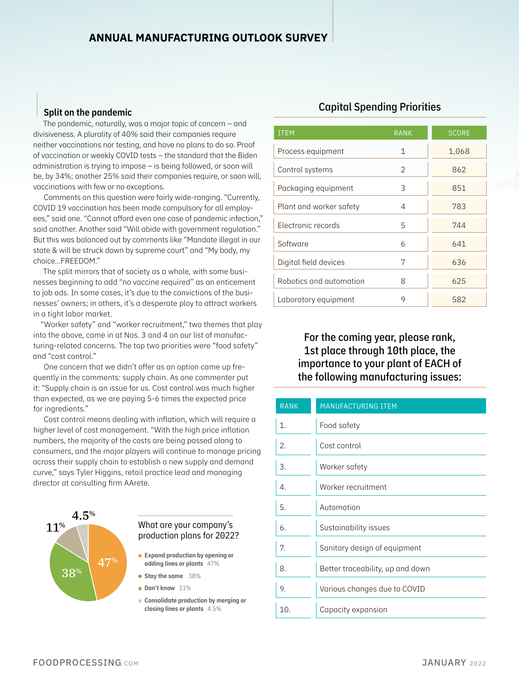### Split on the pandemic

The pandemic, naturally, was a major topic of concern – and divisiveness. A plurality of 40% said their companies require neither vaccinations nor testing, and have no plans to do so. Proof of vaccination or weekly COVID tests – the standard that the Biden administration is trying to impose – is being followed, or soon will be, by 34%; another 25% said their companies require, or soon will, vaccinations with few or no exceptions.

Comments on this question were fairly wide-ranging. "Currently, COVID 19 vaccination has been made compulsory for all employees," said one. "Cannot afford even one case of pandemic infection," said another. Another said "Will abide with government regulation." But this was balanced out by comments like "Mandate illegal in our state & will be struck down by supreme court" and "My body, my choice...FREEDOM."

The split mirrors that of society as a whole, with some businesses beginning to add "no vaccine required" as an enticement to job ads. In some cases, it's due to the convictions of the businesses' owners; in others, it's a desperate ploy to attract workers in a tight labor market.

"Worker safety" and "worker recruitment," two themes that play into the above, came in at Nos. 3 and 4 on our list of manufacturing-related concerns. The top two priorities were "food safety" and "cost control."

One concern that we didn't offer as an option came up frequently in the comments: supply chain. As one commenter put it: "Supply chain is an issue for us. Cost control was much higher than expected, as we are paying 5-6 times the expected price for ingredients."

Cost control means dealing with inflation, which will require a higher level of cost management. "With the high price inflation numbers, the majority of the costs are being passed along to consumers, and the major players will continue to manage pricing across their supply chain to establish a new supply and demand curve," says Tyler Higgins, retail practice lead and managing director at consulting firm AArete.



# What are your company's production plans for 2022?

- Expand production by opening or adding lines or plants 47%
- Stay the same 38%
- **Don't know** 11%
- Consolidate production by merging or closing lines or plants 4.5%

# Capital Spending Priorities

| <b>ITEM</b>             | <b>RANK</b>    | <b>SCORE</b> |
|-------------------------|----------------|--------------|
| Process equipment       | 1              | 1,068        |
| Control systems         | $\mathfrak{D}$ | 862          |
| Packaging equipment     | 3              | 851          |
| Plant and worker safety | 4              | 783          |
| Electronic records      | 5              | 744          |
| Software                | 6              | 641          |
| Digital field devices   | 7              | 636          |
| Robotics and automation | 8              | 625          |
| Laboratory equipment    | 9              | 582          |

# For the coming year, please rank, 1st place through 10th place, the importance to your plant of EACH of the following manufacturing issues:

| <b>RANK</b> | <b>MANUFACTURING ITEM</b>        |
|-------------|----------------------------------|
| 1.          | Food safety                      |
| 2.          | Cost control                     |
| 3.          | Worker safety                    |
| 4.          | Worker recruitment               |
| 5.          | Automation                       |
| 6.          | Sustainability issues            |
| 7.          | Sanitary design of equipment     |
| 8.          | Better traceability, up and down |
| 9.          | Various changes due to COVID     |
| 10.         | Capacity expansion               |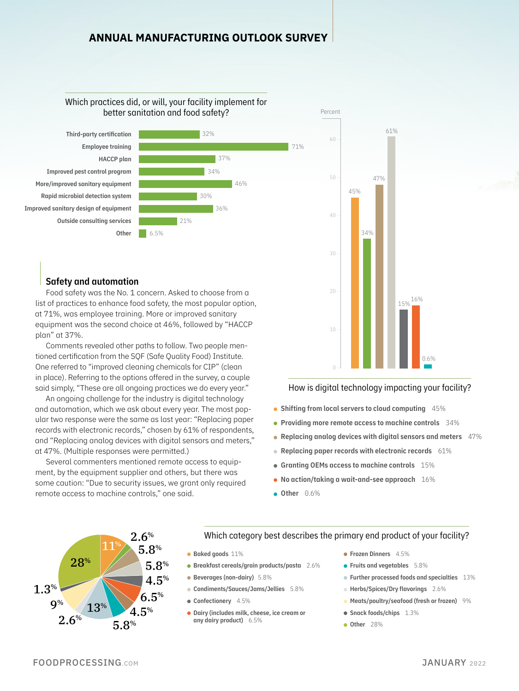32%

34%

37%

36%

30%

21%

46%

71%

# Which practices did, or will, your facility implement for better sanitation and food safety?





Food safety was the No. 1 concern. Asked to choose from a list of practices to enhance food safety, the most popular option, at 71%, was employee training. More or improved sanitary equipment was the second choice at 46%, followed by "HACCP plan" at 37%.

6.5%

Comments revealed other paths to follow. Two people mentioned certification from the SQF (Safe Quality Food) Institute. One referred to "improved cleaning chemicals for CIP" (clean in place). Referring to the options offered in the survey, a couple said simply, "These are all ongoing practices we do every year."

An ongoing challenge for the industry is digital technology and automation, which we ask about every year. The most popular two response were the same as last year: "Replacing paper records with electronic records," chosen by 61% of respondents, and "Replacing analog devices with digital sensors and meters," at 47%. (Multiple responses were permitted.)

Several commenters mentioned remote access to equipment, by the equipment supplier and others, but there was some caution: "Due to security issues, we grant only required remote access to machine controls," one said.



How is digital technology impacting your facility?

- Shifting from local servers to cloud computing 45%
- $\bullet$  Providing more remote access to machine controls  $34\%$
- Replacing analog devices with digital sensors and meters  $47\%$
- Replacing paper records with electronic records 61%
- Granting OEMs access to machine controls 15%
- No action/taking a wait-and-see approach  $16\%$
- $\bullet$  Other  $0.6\%$



# Which category best describes the primary end product of your facility?

- **Baked goods** 11%
- Breakfast cereals/grain products/pasta 2.6%
- Beverages (non-dairy) 5.8%
- Condiments/Sauces/Jams/Jellies 5.8%
- Confectionery 4.5%
- Dairy (includes milk, cheese, ice cream or any dairy product) 6.5%
- **Frozen Dinners** 4.5%
- **Fruits and vegetables** 5.8%
- **Further processed foods and specialties** 13%
- Herbs/Spices/Dry flavorings 2.6%
- Meats/poultry/seafood (fresh or frozen) 9%
- Snack foods/chips 1.3%
- **Other** 28%